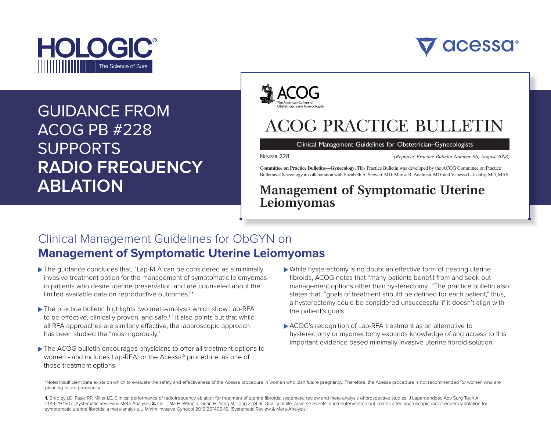



MS NO: ONG-21-661

# GUIDANCE FROM ACOG PB #228 SUPPORTS **RADIO FREQUENCY ABLATION**



# **ACOG PRACTICE BULLETIN**

Clinical Management Guidelines for Obstetrician–Gynecologists

NUMBER 228 (Replaces Practice Bulletin Number 96, August 2008)

Committee on Practice Bulletins—Gynecology. This Practice Bulletin was developed by the ACOG Committee on Practice Bulletins–Gynecology in collaboration with Elizabeth A. Stewart, MD; Marisa R. Adelman, MD; and Vanessa L. Jacoby, MD, MAS.

### Management of Symptomatic Uterine Leiomyomas

### Clinical Management Guidelines for ObGYN on with the purpose of this Practice Bulletin is to provide updated e **Management of Symptomatic Uterine Leiomyomas is a surgical management of Symptomatic Uterine Leiomyomas** recommendations for the medical, procedural, and surgical management of symptomatic leiomyomas. Discussion of addressed in a separate American College of Obstetricians and Gynecologists (ACOG) publication (3).

- ▶ The quidance concludes that, "Lap-RFA can be considered as a minimally invasive treatment option for the management of symptomatic leiomyomas in patients who desire uterine preservation and are counseled about the limited available data on reproductive outcomes."\* )PottpdfbytuNonums14NnovfuNONumB14Nnovfu
- ▶ The practice bulletin highlights two meta-analysis which show Lap-RFA to be effective, clinically proven, and safe.<sup>1,2</sup> It also points out that while all RFA approaches are similarly effective, the laparoscopic approach has been studied the "most rigorously."
- ► The ACOG bulletin encourages physicians to offer all treatment options to women - and includes Lap-RFA, or the Acessa® procedure, as one of those treatment options.  $\sim$
- y → While hysterectomy is no doubt an effective form of treating uterine fibroids, ACOG notes that "many patients benefit from and seek out management options other than hysterectomy..."The practice bulletin also states that, "goals of treatment should be defined for each patient," thus, a hysterectomy could be considered unsuccessful if it doesn't align with the patient's goals. fication system was developed by the International by the International Section Section 2016 ents perient nom and seek out  $\sim$  duncuscos ful if it doesn't alian with rea ansaccessiam intravesint angir with
- ▶ ACOG's recognition of Lap-RFA treatment as an alternative to hysterectomy or myomectomy expands knowledge of and access to this in particularly and the particular members of the access to important evidence based minimally invasive uterine fibroid solution. uterine letterine leidomyomas are common and estimated to occur in the occurrence to occur in the set of occur<br>Common and estimated to occur in the set of occurrence to occur in the set of occurrence to occur in the set o pundo momodyo or and dooddo to the ally invasive utenhe indicity scitting.

\*Note: Insufficient data exists on which to evaluate the safety and effectiveness of the Acessa procedure in women who plan future pregnancy. Therefore, the Acessa procedure is not recommended for women who are planning future pregnancy.  $\overline{a}$ e in women who plan future pregnancy. Therefore, the Acessa procedure is not recommended for women who are

1. Bradley LD, Pasic RP, Miller LE. Clinical performance of radiofrequency ablation for treatment of uterine fibroids: systematic review and meta-analysis of prospective studies. J Laparoendosc Adv Surg Tech A 2019;29:1507. (Systematic Review & Meta-Analysis) 2. Lin L, Ma H, Wang J, Guan H, Yang M, Tong Z, et al. Quality of life, adverse events, and reintervention out-comes after laparoscopic radiofrequency ablation for symptomatic uterine fibroids: a meta-analysis. J Minim Invasive Gynecol 2019;26"409-16. (Systematic Review & Meta-Analysis)